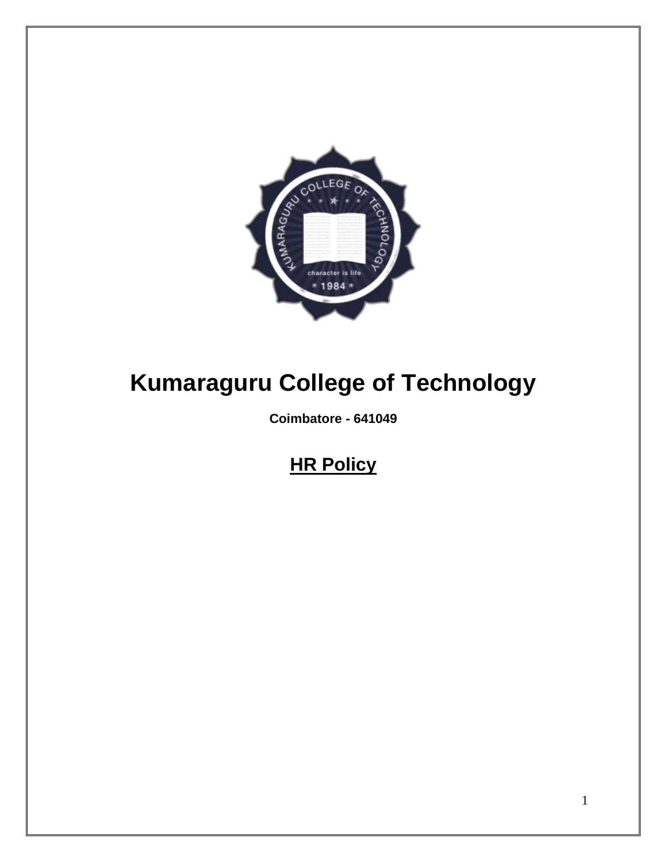

# **Kumaraguru College of Technology**

**Coimbatore - 641049**

# **HR Policy**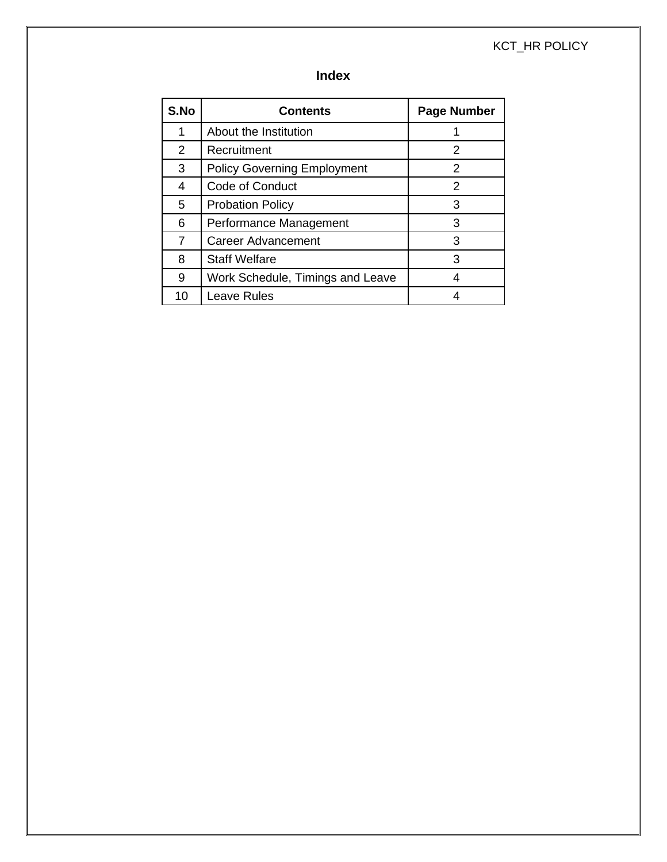#### KCT\_HR POLICY

## **Index**

| S.No | <b>Contents</b>                    | <b>Page Number</b> |
|------|------------------------------------|--------------------|
| 1    | About the Institution              |                    |
| 2    | Recruitment                        | 2                  |
| 3    | <b>Policy Governing Employment</b> | 2                  |
| 4    | Code of Conduct                    | 2                  |
| 5    | <b>Probation Policy</b>            | 3                  |
| 6    | Performance Management             | 3                  |
| 7    | <b>Career Advancement</b>          | 3                  |
| 8    | <b>Staff Welfare</b>               | 3                  |
| 9    | Work Schedule, Timings and Leave   | 4                  |
| 10   | Leave Rules                        |                    |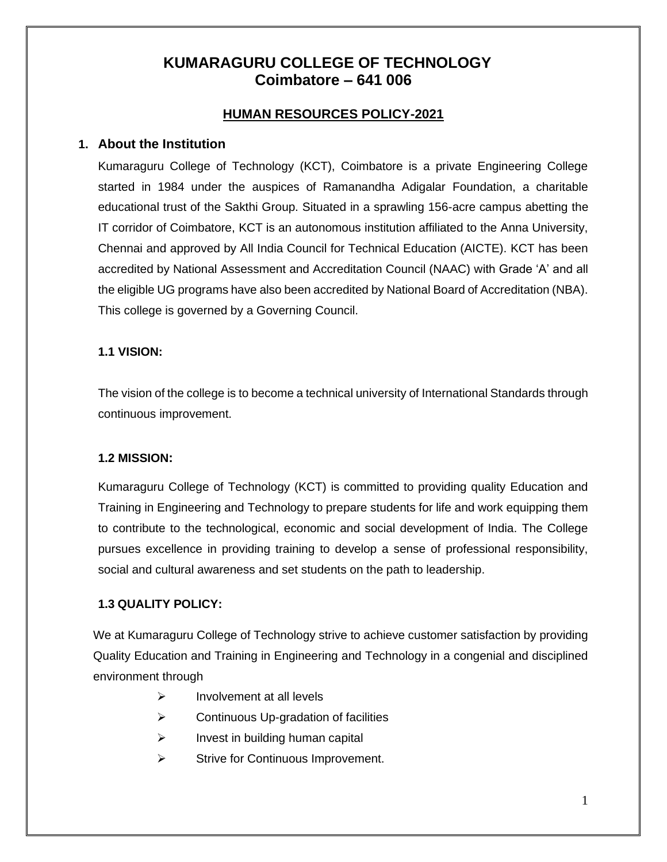## **KUMARAGURU COLLEGE OF TECHNOLOGY Coimbatore – 641 006**

#### **HUMAN RESOURCES POLICY-2021**

#### **1. About the Institution**

Kumaraguru College of Technology (KCT), Coimbatore is a private Engineering College started in 1984 under the auspices of Ramanandha Adigalar Foundation, a charitable educational trust of the Sakthi Group. Situated in a sprawling 156-acre campus abetting the IT corridor of Coimbatore, KCT is an autonomous institution affiliated to the Anna University, Chennai and approved by All India Council for Technical Education (AICTE). KCT has been accredited by National Assessment and Accreditation Council (NAAC) with Grade 'A' and all the eligible UG programs have also been accredited by National Board of Accreditation (NBA). This college is governed by a Governing Council.

#### **1.1 VISION:**

The vision of the college is to become a technical university of International Standards through continuous improvement.

#### **1.2 MISSION:**

Kumaraguru College of Technology (KCT) is committed to providing quality Education and Training in Engineering and Technology to prepare students for life and work equipping them to contribute to the technological, economic and social development of India. The College pursues excellence in providing training to develop a sense of professional responsibility, social and cultural awareness and set students on the path to leadership.

#### **1.3 QUALITY POLICY:**

We at Kumaraguru College of Technology strive to achieve customer satisfaction by providing Quality Education and Training in Engineering and Technology in a congenial and disciplined environment through

- ➢ Involvement at all levels
- ➢ Continuous Up-gradation of facilities
- $\triangleright$  Invest in building human capital
- ➢ Strive for Continuous Improvement.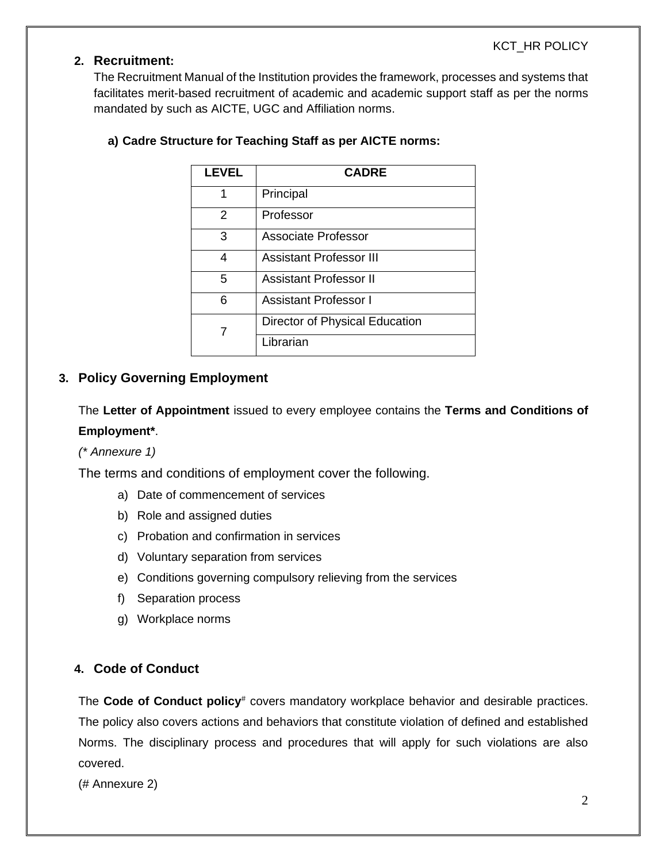#### **2. Recruitment:**

The Recruitment Manual of the Institution provides the framework, processes and systems that facilitates merit-based recruitment of academic and academic support staff as per the norms mandated by such as AICTE, UGC and Affiliation norms.

| LEVEL         | <b>CADRE</b>                   |
|---------------|--------------------------------|
| 1             | Principal                      |
| $\mathcal{P}$ | Professor                      |
| 3             | Associate Professor            |
| 4             | <b>Assistant Professor III</b> |
| 5             | <b>Assistant Professor II</b>  |
| 6             | <b>Assistant Professor I</b>   |
| 7             | Director of Physical Education |
|               | Librarian                      |

#### **a) Cadre Structure for Teaching Staff as per AICTE norms:**

#### **3. Policy Governing Employment**

The **Letter of Appointment** issued to every employee contains the **Terms and Conditions of Employment\***.

*(\* Annexure 1)*

The terms and conditions of employment cover the following.

- a) Date of commencement of services
- b) Role and assigned duties
- c) Probation and confirmation in services
- d) Voluntary separation from services
- e) Conditions governing compulsory relieving from the services
- f) Separation process
- g) Workplace norms

#### **4. Code of Conduct**

The **Code of Conduct policy**<sup>#</sup> covers mandatory workplace behavior and desirable practices. The policy also covers actions and behaviors that constitute violation of defined and established Norms. The disciplinary process and procedures that will apply for such violations are also covered.

(# Annexure 2)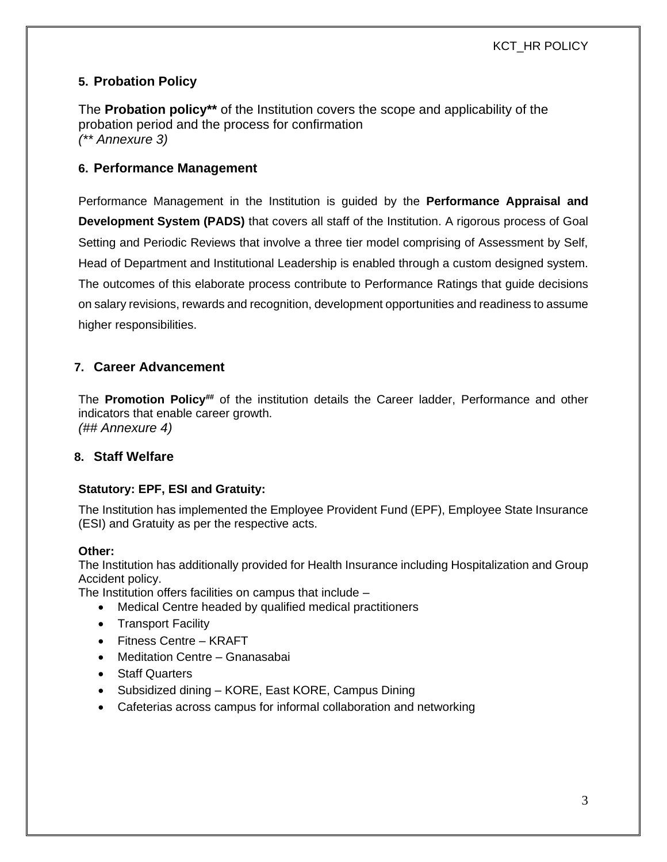#### **5. Probation Policy**

The **Probation policy\*\*** of the Institution covers the scope and applicability of the probation period and the process for confirmation *(\*\* Annexure 3)*

#### **6. Performance Management**

Performance Management in the Institution is guided by the **Performance Appraisal and Development System (PADS)** that covers all staff of the Institution. A rigorous process of Goal Setting and Periodic Reviews that involve a three tier model comprising of Assessment by Self, Head of Department and Institutional Leadership is enabled through a custom designed system. The outcomes of this elaborate process contribute to Performance Ratings that guide decisions on salary revisions, rewards and recognition, development opportunities and readiness to assume higher responsibilities.

#### **7. Career Advancement**

The **Promotion Policy**<sup>##</sup> of the institution details the Career ladder, Performance and other indicators that enable career growth. *(## Annexure 4)*

#### **8. Staff Welfare**

#### **Statutory: EPF, ESI and Gratuity:**

The Institution has implemented the Employee Provident Fund (EPF), Employee State Insurance (ESI) and Gratuity as per the respective acts.

#### **Other:**

The Institution has additionally provided for Health Insurance including Hospitalization and Group Accident policy.

The Institution offers facilities on campus that include –

- Medical Centre headed by qualified medical practitioners
- Transport Facility
- Fitness Centre KRAFT
- Meditation Centre Gnanasabai
- Staff Quarters
- Subsidized dining KORE, East KORE, Campus Dining
- Cafeterias across campus for informal collaboration and networking